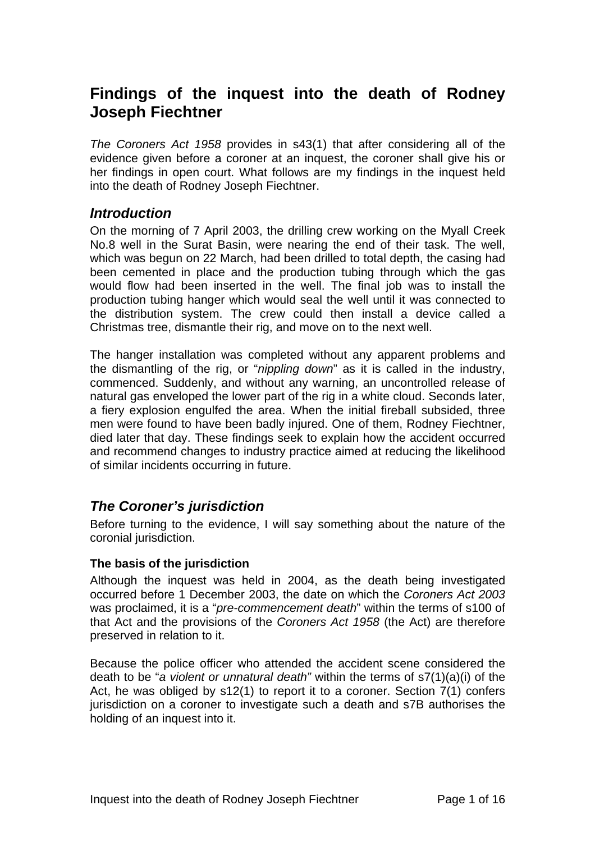# **Findings of the inquest into the death of Rodney Joseph Fiechtner**

*The Coroners Act 1958* provides in s43(1) that after considering all of the evidence given before a coroner at an inquest, the coroner shall give his or her findings in open court. What follows are my findings in the inquest held into the death of Rodney Joseph Fiechtner.

### *Introduction*

On the morning of 7 April 2003, the drilling crew working on the Myall Creek No.8 well in the Surat Basin, were nearing the end of their task. The well, which was begun on 22 March, had been drilled to total depth, the casing had been cemented in place and the production tubing through which the gas would flow had been inserted in the well. The final job was to install the production tubing hanger which would seal the well until it was connected to the distribution system. The crew could then install a device called a Christmas tree, dismantle their rig, and move on to the next well.

The hanger installation was completed without any apparent problems and the dismantling of the rig, or "*nippling down*" as it is called in the industry, commenced. Suddenly, and without any warning, an uncontrolled release of natural gas enveloped the lower part of the rig in a white cloud. Seconds later, a fiery explosion engulfed the area. When the initial fireball subsided, three men were found to have been badly injured. One of them, Rodney Fiechtner, died later that day. These findings seek to explain how the accident occurred and recommend changes to industry practice aimed at reducing the likelihood of similar incidents occurring in future.

# *The Coroner's jurisdiction*

Before turning to the evidence, I will say something about the nature of the coronial jurisdiction.

### **The basis of the jurisdiction**

Although the inquest was held in 2004, as the death being investigated occurred before 1 December 2003, the date on which the *Coroners Act 2003* was proclaimed, it is a "*pre-commencement death*" within the terms of s100 of that Act and the provisions of the *Coroners Act 1958* (the Act) are therefore preserved in relation to it.

Because the police officer who attended the accident scene considered the death to be "*a violent or unnatural death"* within the terms of s7(1)(a)(i) of the Act, he was obliged by s12(1) to report it to a coroner. Section 7(1) confers jurisdiction on a coroner to investigate such a death and s7B authorises the holding of an inquest into it.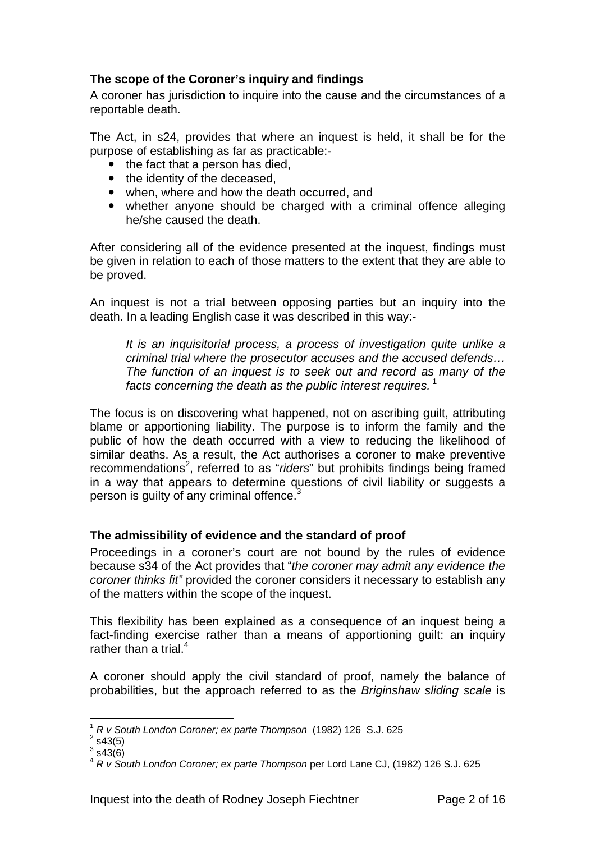### **The scope of the Coroner's inquiry and findings**

A coroner has jurisdiction to inquire into the cause and the circumstances of a reportable death.

The Act, in s24, provides that where an inquest is held, it shall be for the purpose of establishing as far as practicable:-

- $\bullet$  the fact that a person has died.
- the identity of the deceased,
- when, where and how the death occurred, and
- whether anyone should be charged with a criminal offence alleging he/she caused the death.

After considering all of the evidence presented at the inquest, findings must be given in relation to each of those matters to the extent that they are able to be proved.

An inquest is not a trial between opposing parties but an inquiry into the death. In a leading English case it was described in this way:-

*It is an inquisitorial process, a process of investigation quite unlike a criminal trial where the prosecutor accuses and the accused defends… The function of an inquest is to seek out and record as many of the facts concerning the death as the public interest requires.*<sup>1</sup>

The focus is on discovering what happened, not on ascribing guilt, attributing blame or apportioning liability. The purpose is to inform the family and the public of how the death occurred with a view to reducing the likelihood of similar deaths. As a result, the Act authorises a coroner to make preventive recommendations<sup>2</sup>, referred to as "riders" but prohibits findings being framed in a way that appears to determine questions of civil liability or suggests a person is guilty of any criminal offence. $3$ 

#### **The admissibility of evidence and the standard of proof**

Proceedings in a coroner's court are not bound by the rules of evidence because s34 of the Act provides that "*the coroner may admit any evidence the coroner thinks fit"* provided the coroner considers it necessary to establish any of the matters within the scope of the inquest.

This flexibility has been explained as a consequence of an inquest being a fact-finding exercise rather than a means of apportioning guilt: an inquiry rather than a trial. $4$ 

A coroner should apply the civil standard of proof, namely the balance of probabilities, but the approach referred to as the *Briginshaw sliding scale* is

 $\overline{a}$ 

<sup>1</sup> *R v South London Coroner; ex parte Thompson* (1982) 126 S.J. 625 2

 $2$  s43(5)

 $3$  s43(6)

<sup>4</sup> *R v South London Coroner; ex parte Thompson* per Lord Lane CJ, (1982) 126 S.J. 625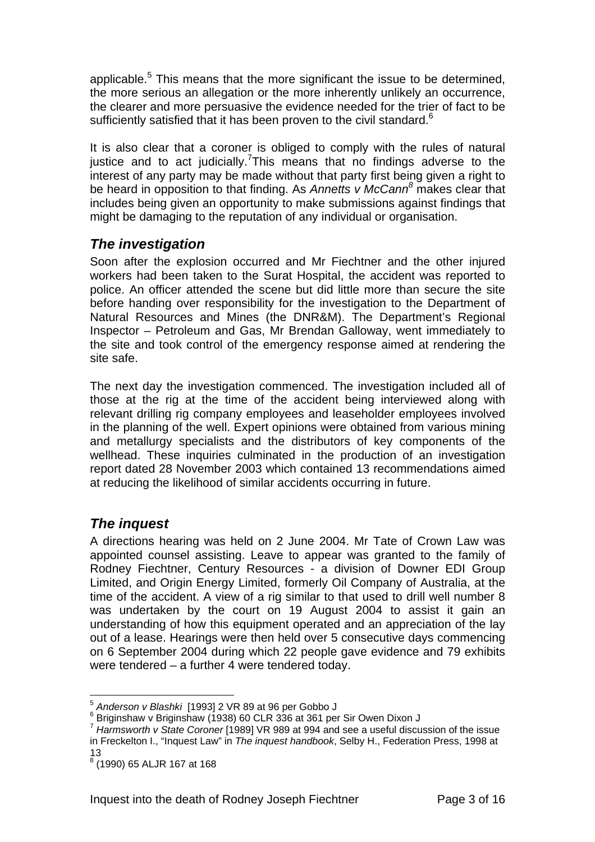applicable.<sup>5</sup> This means that the more significant the issue to be determined, the more serious an allegation or the more inherently unlikely an occurrence, the clearer and more persuasive the evidence needed for the trier of fact to be sufficiently satisfied that it has been proven to the civil standard.<sup>6</sup>

It is also clear that a coroner is obliged to comply with the rules of natural justice and to act judicially. This means that no findings adverse to the interest of any party may be made without that party first being given a right to be heard in opposition to that finding. As *Annetts v McCann<sup>8</sup>* makes clear that includes being given an opportunity to make submissions against findings that might be damaging to the reputation of any individual or organisation.

# *The investigation*

Soon after the explosion occurred and Mr Fiechtner and the other injured workers had been taken to the Surat Hospital, the accident was reported to police. An officer attended the scene but did little more than secure the site before handing over responsibility for the investigation to the Department of Natural Resources and Mines (the DNR&M). The Department's Regional Inspector – Petroleum and Gas, Mr Brendan Galloway, went immediately to the site and took control of the emergency response aimed at rendering the site safe.

The next day the investigation commenced. The investigation included all of those at the rig at the time of the accident being interviewed along with relevant drilling rig company employees and leaseholder employees involved in the planning of the well. Expert opinions were obtained from various mining and metallurgy specialists and the distributors of key components of the wellhead. These inquiries culminated in the production of an investigation report dated 28 November 2003 which contained 13 recommendations aimed at reducing the likelihood of similar accidents occurring in future.

# *The inquest*

 $\overline{a}$ 

A directions hearing was held on 2 June 2004. Mr Tate of Crown Law was appointed counsel assisting. Leave to appear was granted to the family of Rodney Fiechtner, Century Resources - a division of Downer EDI Group Limited, and Origin Energy Limited, formerly Oil Company of Australia, at the time of the accident. A view of a rig similar to that used to drill well number 8 was undertaken by the court on 19 August 2004 to assist it gain an understanding of how this equipment operated and an appreciation of the lay out of a lease. Hearings were then held over 5 consecutive days commencing on 6 September 2004 during which 22 people gave evidence and 79 exhibits were tendered – a further 4 were tendered today.

<sup>5</sup> *Anderson v Blashki* [1993] 2 VR 89 at 96 per Gobbo J 6

 $6$  Briginshaw v Briginshaw (1938) 60 CLR 336 at 361 per Sir Owen Dixon J

<sup>7</sup> *Harmsworth v State Coroner* [1989] VR 989 at 994 and see a useful discussion of the issue in Freckelton I., "Inquest Law" in *The inquest handbook*, Selby H., Federation Press, 1998 at 13

<sup>8</sup> (1990) 65 ALJR 167 at 168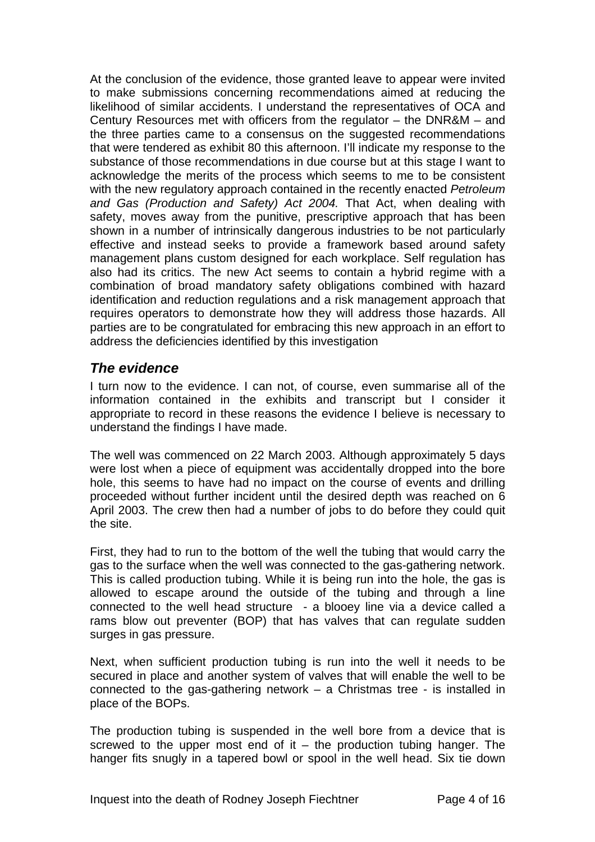At the conclusion of the evidence, those granted leave to appear were invited to make submissions concerning recommendations aimed at reducing the likelihood of similar accidents. I understand the representatives of OCA and Century Resources met with officers from the regulator – the DNR&M – and the three parties came to a consensus on the suggested recommendations that were tendered as exhibit 80 this afternoon. I'll indicate my response to the substance of those recommendations in due course but at this stage I want to acknowledge the merits of the process which seems to me to be consistent with the new regulatory approach contained in the recently enacted *Petroleum and Gas (Production and Safety) Act 2004.* That Act, when dealing with safety, moves away from the punitive, prescriptive approach that has been shown in a number of intrinsically dangerous industries to be not particularly effective and instead seeks to provide a framework based around safety management plans custom designed for each workplace. Self regulation has also had its critics. The new Act seems to contain a hybrid regime with a combination of broad mandatory safety obligations combined with hazard identification and reduction regulations and a risk management approach that requires operators to demonstrate how they will address those hazards. All parties are to be congratulated for embracing this new approach in an effort to address the deficiencies identified by this investigation

# *The evidence*

I turn now to the evidence. I can not, of course, even summarise all of the information contained in the exhibits and transcript but I consider it appropriate to record in these reasons the evidence I believe is necessary to understand the findings I have made.

The well was commenced on 22 March 2003. Although approximately 5 days were lost when a piece of equipment was accidentally dropped into the bore hole, this seems to have had no impact on the course of events and drilling proceeded without further incident until the desired depth was reached on 6 April 2003. The crew then had a number of jobs to do before they could quit the site.

First, they had to run to the bottom of the well the tubing that would carry the gas to the surface when the well was connected to the gas-gathering network. This is called production tubing. While it is being run into the hole, the gas is allowed to escape around the outside of the tubing and through a line connected to the well head structure - a blooey line via a device called a rams blow out preventer (BOP) that has valves that can regulate sudden surges in gas pressure.

Next, when sufficient production tubing is run into the well it needs to be secured in place and another system of valves that will enable the well to be connected to the gas-gathering network – a Christmas tree - is installed in place of the BOPs.

The production tubing is suspended in the well bore from a device that is screwed to the upper most end of it – the production tubing hanger. The hanger fits snugly in a tapered bowl or spool in the well head. Six tie down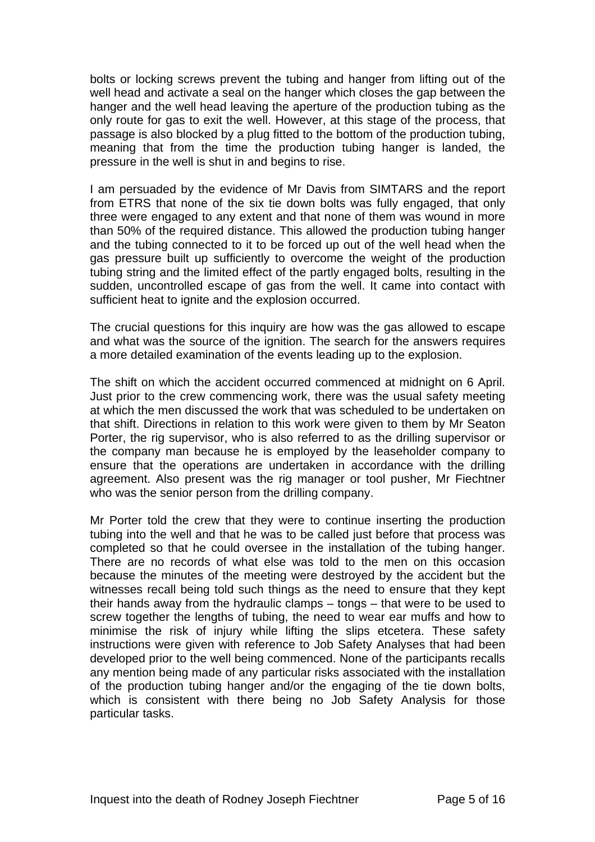bolts or locking screws prevent the tubing and hanger from lifting out of the well head and activate a seal on the hanger which closes the gap between the hanger and the well head leaving the aperture of the production tubing as the only route for gas to exit the well. However, at this stage of the process, that passage is also blocked by a plug fitted to the bottom of the production tubing, meaning that from the time the production tubing hanger is landed, the pressure in the well is shut in and begins to rise.

I am persuaded by the evidence of Mr Davis from SIMTARS and the report from ETRS that none of the six tie down bolts was fully engaged, that only three were engaged to any extent and that none of them was wound in more than 50% of the required distance. This allowed the production tubing hanger and the tubing connected to it to be forced up out of the well head when the gas pressure built up sufficiently to overcome the weight of the production tubing string and the limited effect of the partly engaged bolts, resulting in the sudden, uncontrolled escape of gas from the well. It came into contact with sufficient heat to ignite and the explosion occurred.

The crucial questions for this inquiry are how was the gas allowed to escape and what was the source of the ignition. The search for the answers requires a more detailed examination of the events leading up to the explosion.

The shift on which the accident occurred commenced at midnight on 6 April. Just prior to the crew commencing work, there was the usual safety meeting at which the men discussed the work that was scheduled to be undertaken on that shift. Directions in relation to this work were given to them by Mr Seaton Porter, the rig supervisor, who is also referred to as the drilling supervisor or the company man because he is employed by the leaseholder company to ensure that the operations are undertaken in accordance with the drilling agreement. Also present was the rig manager or tool pusher, Mr Fiechtner who was the senior person from the drilling company.

Mr Porter told the crew that they were to continue inserting the production tubing into the well and that he was to be called just before that process was completed so that he could oversee in the installation of the tubing hanger. There are no records of what else was told to the men on this occasion because the minutes of the meeting were destroyed by the accident but the witnesses recall being told such things as the need to ensure that they kept their hands away from the hydraulic clamps – tongs – that were to be used to screw together the lengths of tubing, the need to wear ear muffs and how to minimise the risk of injury while lifting the slips etcetera. These safety instructions were given with reference to Job Safety Analyses that had been developed prior to the well being commenced. None of the participants recalls any mention being made of any particular risks associated with the installation of the production tubing hanger and/or the engaging of the tie down bolts, which is consistent with there being no Job Safety Analysis for those particular tasks.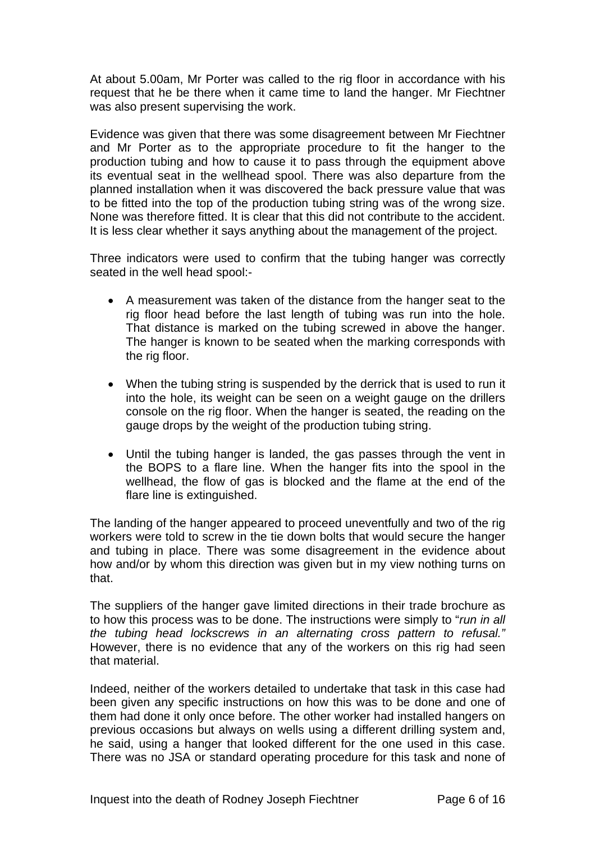At about 5.00am, Mr Porter was called to the rig floor in accordance with his request that he be there when it came time to land the hanger. Mr Fiechtner was also present supervising the work.

Evidence was given that there was some disagreement between Mr Fiechtner and Mr Porter as to the appropriate procedure to fit the hanger to the production tubing and how to cause it to pass through the equipment above its eventual seat in the wellhead spool. There was also departure from the planned installation when it was discovered the back pressure value that was to be fitted into the top of the production tubing string was of the wrong size. None was therefore fitted. It is clear that this did not contribute to the accident. It is less clear whether it says anything about the management of the project.

Three indicators were used to confirm that the tubing hanger was correctly seated in the well head spool:-

- A measurement was taken of the distance from the hanger seat to the rig floor head before the last length of tubing was run into the hole. That distance is marked on the tubing screwed in above the hanger. The hanger is known to be seated when the marking corresponds with the rig floor.
- When the tubing string is suspended by the derrick that is used to run it into the hole, its weight can be seen on a weight gauge on the drillers console on the rig floor. When the hanger is seated, the reading on the gauge drops by the weight of the production tubing string.
- Until the tubing hanger is landed, the gas passes through the vent in the BOPS to a flare line. When the hanger fits into the spool in the wellhead, the flow of gas is blocked and the flame at the end of the flare line is extinguished.

The landing of the hanger appeared to proceed uneventfully and two of the rig workers were told to screw in the tie down bolts that would secure the hanger and tubing in place. There was some disagreement in the evidence about how and/or by whom this direction was given but in my view nothing turns on that.

The suppliers of the hanger gave limited directions in their trade brochure as to how this process was to be done. The instructions were simply to "*run in all the tubing head lockscrews in an alternating cross pattern to refusal."*  However, there is no evidence that any of the workers on this rig had seen that material.

Indeed, neither of the workers detailed to undertake that task in this case had been given any specific instructions on how this was to be done and one of them had done it only once before. The other worker had installed hangers on previous occasions but always on wells using a different drilling system and, he said, using a hanger that looked different for the one used in this case. There was no JSA or standard operating procedure for this task and none of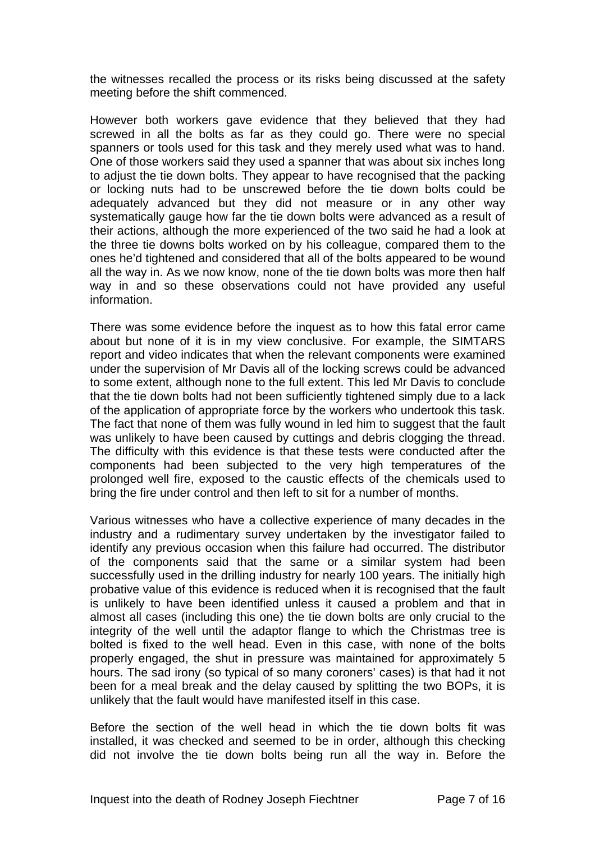the witnesses recalled the process or its risks being discussed at the safety meeting before the shift commenced.

However both workers gave evidence that they believed that they had screwed in all the bolts as far as they could go. There were no special spanners or tools used for this task and they merely used what was to hand. One of those workers said they used a spanner that was about six inches long to adjust the tie down bolts. They appear to have recognised that the packing or locking nuts had to be unscrewed before the tie down bolts could be adequately advanced but they did not measure or in any other way systematically gauge how far the tie down bolts were advanced as a result of their actions, although the more experienced of the two said he had a look at the three tie downs bolts worked on by his colleague, compared them to the ones he'd tightened and considered that all of the bolts appeared to be wound all the way in. As we now know, none of the tie down bolts was more then half way in and so these observations could not have provided any useful information.

There was some evidence before the inquest as to how this fatal error came about but none of it is in my view conclusive. For example, the SIMTARS report and video indicates that when the relevant components were examined under the supervision of Mr Davis all of the locking screws could be advanced to some extent, although none to the full extent. This led Mr Davis to conclude that the tie down bolts had not been sufficiently tightened simply due to a lack of the application of appropriate force by the workers who undertook this task. The fact that none of them was fully wound in led him to suggest that the fault was unlikely to have been caused by cuttings and debris clogging the thread. The difficulty with this evidence is that these tests were conducted after the components had been subjected to the very high temperatures of the prolonged well fire, exposed to the caustic effects of the chemicals used to bring the fire under control and then left to sit for a number of months.

Various witnesses who have a collective experience of many decades in the industry and a rudimentary survey undertaken by the investigator failed to identify any previous occasion when this failure had occurred. The distributor of the components said that the same or a similar system had been successfully used in the drilling industry for nearly 100 years. The initially high probative value of this evidence is reduced when it is recognised that the fault is unlikely to have been identified unless it caused a problem and that in almost all cases (including this one) the tie down bolts are only crucial to the integrity of the well until the adaptor flange to which the Christmas tree is bolted is fixed to the well head. Even in this case, with none of the bolts properly engaged, the shut in pressure was maintained for approximately 5 hours. The sad irony (so typical of so many coroners' cases) is that had it not been for a meal break and the delay caused by splitting the two BOPs, it is unlikely that the fault would have manifested itself in this case.

Before the section of the well head in which the tie down bolts fit was installed, it was checked and seemed to be in order, although this checking did not involve the tie down bolts being run all the way in. Before the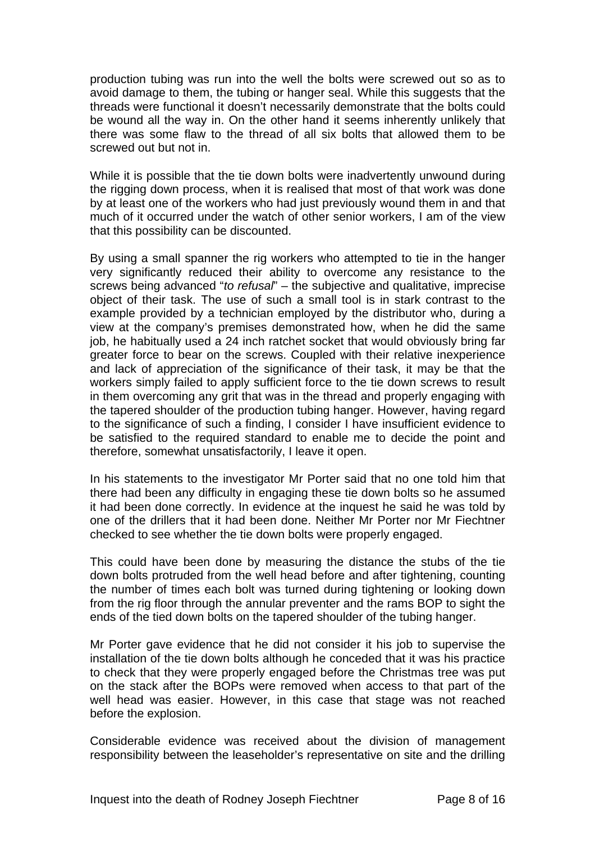production tubing was run into the well the bolts were screwed out so as to avoid damage to them, the tubing or hanger seal. While this suggests that the threads were functional it doesn't necessarily demonstrate that the bolts could be wound all the way in. On the other hand it seems inherently unlikely that there was some flaw to the thread of all six bolts that allowed them to be screwed out but not in.

While it is possible that the tie down bolts were inadvertently unwound during the rigging down process, when it is realised that most of that work was done by at least one of the workers who had just previously wound them in and that much of it occurred under the watch of other senior workers, I am of the view that this possibility can be discounted.

By using a small spanner the rig workers who attempted to tie in the hanger very significantly reduced their ability to overcome any resistance to the screws being advanced "*to refusal*" – the subjective and qualitative, imprecise object of their task. The use of such a small tool is in stark contrast to the example provided by a technician employed by the distributor who, during a view at the company's premises demonstrated how, when he did the same job, he habitually used a 24 inch ratchet socket that would obviously bring far greater force to bear on the screws. Coupled with their relative inexperience and lack of appreciation of the significance of their task, it may be that the workers simply failed to apply sufficient force to the tie down screws to result in them overcoming any grit that was in the thread and properly engaging with the tapered shoulder of the production tubing hanger. However, having regard to the significance of such a finding, I consider I have insufficient evidence to be satisfied to the required standard to enable me to decide the point and therefore, somewhat unsatisfactorily, I leave it open.

In his statements to the investigator Mr Porter said that no one told him that there had been any difficulty in engaging these tie down bolts so he assumed it had been done correctly. In evidence at the inquest he said he was told by one of the drillers that it had been done. Neither Mr Porter nor Mr Fiechtner checked to see whether the tie down bolts were properly engaged.

This could have been done by measuring the distance the stubs of the tie down bolts protruded from the well head before and after tightening, counting the number of times each bolt was turned during tightening or looking down from the rig floor through the annular preventer and the rams BOP to sight the ends of the tied down bolts on the tapered shoulder of the tubing hanger.

Mr Porter gave evidence that he did not consider it his job to supervise the installation of the tie down bolts although he conceded that it was his practice to check that they were properly engaged before the Christmas tree was put on the stack after the BOPs were removed when access to that part of the well head was easier. However, in this case that stage was not reached before the explosion.

Considerable evidence was received about the division of management responsibility between the leaseholder's representative on site and the drilling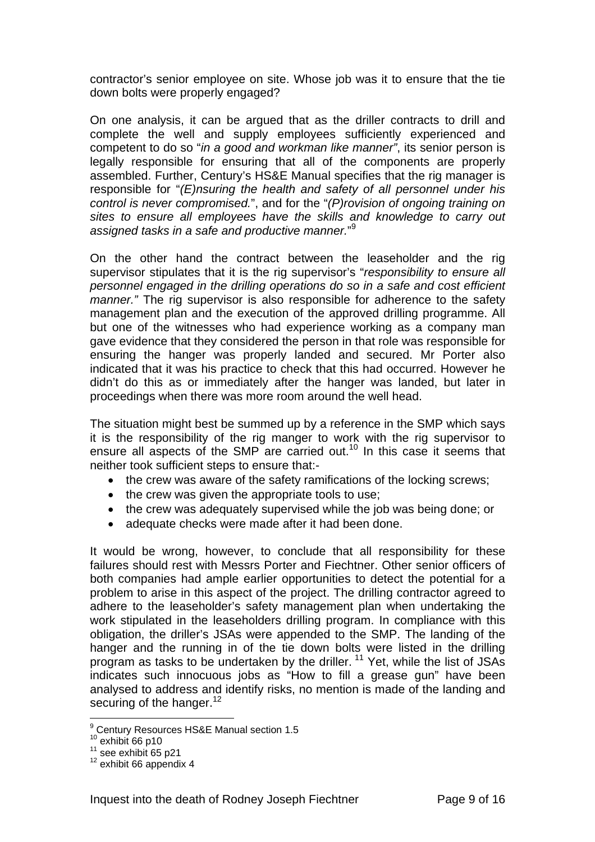contractor's senior employee on site. Whose job was it to ensure that the tie down bolts were properly engaged?

On one analysis, it can be argued that as the driller contracts to drill and complete the well and supply employees sufficiently experienced and competent to do so "*in a good and workman like manner"*, its senior person is legally responsible for ensuring that all of the components are properly assembled. Further, Century's HS&E Manual specifies that the rig manager is responsible for "*(E)nsuring the health and safety of all personnel under his control is never compromised.*", and for the "*(P)rovision of ongoing training on sites to ensure all employees have the skills and knowledge to carry out assigned tasks in a safe and productive manner.*" 9

On the other hand the contract between the leaseholder and the rig supervisor stipulates that it is the rig supervisor's "*responsibility to ensure all personnel engaged in the drilling operations do so in a safe and cost efficient manner."* The rig supervisor is also responsible for adherence to the safety management plan and the execution of the approved drilling programme. All but one of the witnesses who had experience working as a company man gave evidence that they considered the person in that role was responsible for ensuring the hanger was properly landed and secured. Mr Porter also indicated that it was his practice to check that this had occurred. However he didn't do this as or immediately after the hanger was landed, but later in proceedings when there was more room around the well head.

The situation might best be summed up by a reference in the SMP which says it is the responsibility of the rig manger to work with the rig supervisor to ensure all aspects of the SMP are carried out.<sup>10</sup> In this case it seems that neither took sufficient steps to ensure that:-

- the crew was aware of the safety ramifications of the locking screws;
- the crew was given the appropriate tools to use;
- the crew was adequately supervised while the job was being done; or
- adequate checks were made after it had been done.

It would be wrong, however, to conclude that all responsibility for these failures should rest with Messrs Porter and Fiechtner. Other senior officers of both companies had ample earlier opportunities to detect the potential for a problem to arise in this aspect of the project. The drilling contractor agreed to adhere to the leaseholder's safety management plan when undertaking the work stipulated in the leaseholders drilling program. In compliance with this obligation, the driller's JSAs were appended to the SMP. The landing of the hanger and the running in of the tie down bolts were listed in the drilling program as tasks to be undertaken by the driller.  $11$  Yet, while the list of JSAs indicates such innocuous jobs as "How to fill a grease gun" have been analysed to address and identify risks, no mention is made of the landing and securing of the hanger.<sup>12</sup>

 9 Century Resources HS&E Manual section 1.5

<sup>&</sup>lt;sup>10</sup> exhibit 66 p10<br><sup>11</sup> see exhibit 65 p21<br><sup>12</sup> exhibit 66 appendix 4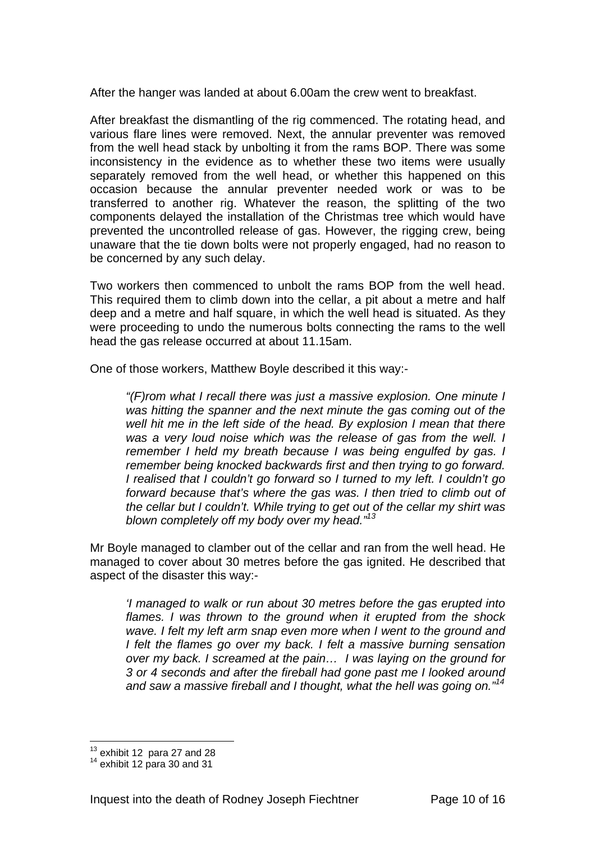After the hanger was landed at about 6.00am the crew went to breakfast.

After breakfast the dismantling of the rig commenced. The rotating head, and various flare lines were removed. Next, the annular preventer was removed from the well head stack by unbolting it from the rams BOP. There was some inconsistency in the evidence as to whether these two items were usually separately removed from the well head, or whether this happened on this occasion because the annular preventer needed work or was to be transferred to another rig. Whatever the reason, the splitting of the two components delayed the installation of the Christmas tree which would have prevented the uncontrolled release of gas. However, the rigging crew, being unaware that the tie down bolts were not properly engaged, had no reason to be concerned by any such delay.

Two workers then commenced to unbolt the rams BOP from the well head. This required them to climb down into the cellar, a pit about a metre and half deep and a metre and half square, in which the well head is situated. As they were proceeding to undo the numerous bolts connecting the rams to the well head the gas release occurred at about 11.15am.

One of those workers, Matthew Boyle described it this way:-

*"(F)rom what I recall there was just a massive explosion. One minute I was hitting the spanner and the next minute the gas coming out of the well hit me in the left side of the head. By explosion I mean that there was a very loud noise which was the release of gas from the well. I remember I held my breath because I was being engulfed by gas. I remember being knocked backwards first and then trying to go forward. I realised that I couldn't go forward so I turned to my left. I couldn't go forward because that's where the gas was. I then tried to climb out of the cellar but I couldn't. While trying to get out of the cellar my shirt was blown completely off my body over my head."13*

Mr Boyle managed to clamber out of the cellar and ran from the well head. He managed to cover about 30 metres before the gas ignited. He described that aspect of the disaster this way:-

*'I managed to walk or run about 30 metres before the gas erupted into flames. I was thrown to the ground when it erupted from the shock wave. I felt my left arm snap even more when I went to the ground and I felt the flames go over my back. I felt a massive burning sensation over my back. I screamed at the pain… I was laying on the ground for 3 or 4 seconds and after the fireball had gone past me I looked around and saw a massive fireball and I thought, what the hell was going on."14*

 $\overline{a}$  $13$  exhibit 12 para 27 and 28  $14$  exhibit 12 para 30 and 31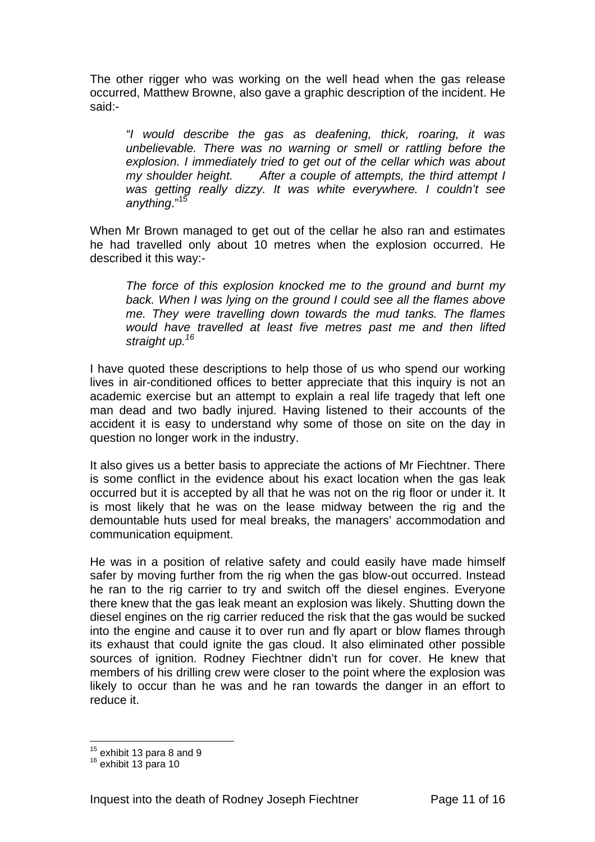The other rigger who was working on the well head when the gas release occurred, Matthew Browne, also gave a graphic description of the incident. He said:-

*"I would describe the gas as deafening, thick, roaring, it was unbelievable. There was no warning or smell or rattling before the explosion. I immediately tried to get out of the cellar which was about my shoulder height. After a couple of attempts, the third attempt I was getting really dizzy. It was white everywhere. I couldn't see anything*."<sup>15</sup>

When Mr Brown managed to get out of the cellar he also ran and estimates he had travelled only about 10 metres when the explosion occurred. He described it this way:-

*The force of this explosion knocked me to the ground and burnt my back. When I was lying on the ground I could see all the flames above me. They were travelling down towards the mud tanks. The flames would have travelled at least five metres past me and then lifted straight up.16*

I have quoted these descriptions to help those of us who spend our working lives in air-conditioned offices to better appreciate that this inquiry is not an academic exercise but an attempt to explain a real life tragedy that left one man dead and two badly injured. Having listened to their accounts of the accident it is easy to understand why some of those on site on the day in question no longer work in the industry.

It also gives us a better basis to appreciate the actions of Mr Fiechtner. There is some conflict in the evidence about his exact location when the gas leak occurred but it is accepted by all that he was not on the rig floor or under it. It is most likely that he was on the lease midway between the rig and the demountable huts used for meal breaks, the managers' accommodation and communication equipment.

He was in a position of relative safety and could easily have made himself safer by moving further from the rig when the gas blow-out occurred. Instead he ran to the rig carrier to try and switch off the diesel engines. Everyone there knew that the gas leak meant an explosion was likely. Shutting down the diesel engines on the rig carrier reduced the risk that the gas would be sucked into the engine and cause it to over run and fly apart or blow flames through its exhaust that could ignite the gas cloud. It also eliminated other possible sources of ignition. Rodney Fiechtner didn't run for cover. He knew that members of his drilling crew were closer to the point where the explosion was likely to occur than he was and he ran towards the danger in an effort to reduce it.

 $\overline{a}$ 

 $15$  exhibit 13 para 8 and 9  $16$  exhibit 13 para 10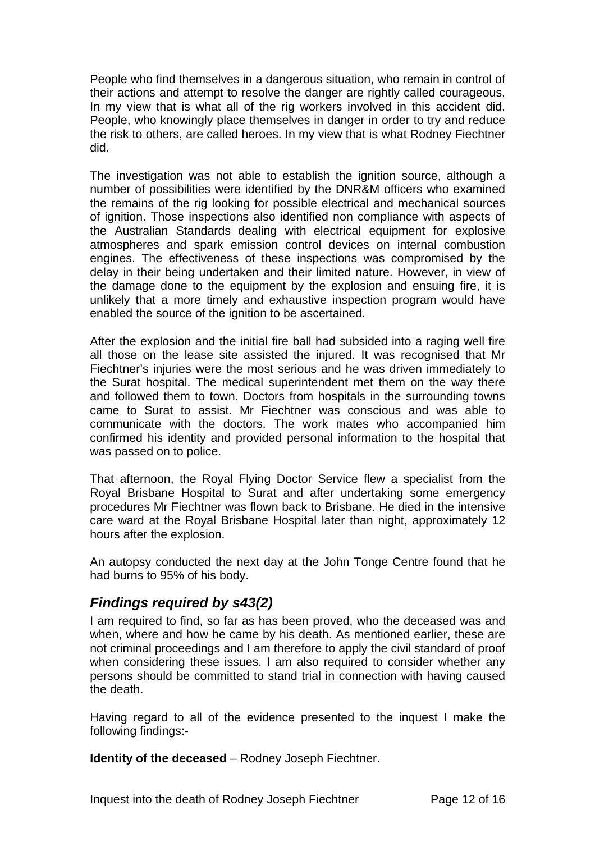People who find themselves in a dangerous situation, who remain in control of their actions and attempt to resolve the danger are rightly called courageous. In my view that is what all of the rig workers involved in this accident did. People, who knowingly place themselves in danger in order to try and reduce the risk to others, are called heroes. In my view that is what Rodney Fiechtner did.

The investigation was not able to establish the ignition source, although a number of possibilities were identified by the DNR&M officers who examined the remains of the rig looking for possible electrical and mechanical sources of ignition. Those inspections also identified non compliance with aspects of the Australian Standards dealing with electrical equipment for explosive atmospheres and spark emission control devices on internal combustion engines. The effectiveness of these inspections was compromised by the delay in their being undertaken and their limited nature. However, in view of the damage done to the equipment by the explosion and ensuing fire, it is unlikely that a more timely and exhaustive inspection program would have enabled the source of the ignition to be ascertained.

After the explosion and the initial fire ball had subsided into a raging well fire all those on the lease site assisted the injured. It was recognised that Mr Fiechtner's injuries were the most serious and he was driven immediately to the Surat hospital. The medical superintendent met them on the way there and followed them to town. Doctors from hospitals in the surrounding towns came to Surat to assist. Mr Fiechtner was conscious and was able to communicate with the doctors. The work mates who accompanied him confirmed his identity and provided personal information to the hospital that was passed on to police.

That afternoon, the Royal Flying Doctor Service flew a specialist from the Royal Brisbane Hospital to Surat and after undertaking some emergency procedures Mr Fiechtner was flown back to Brisbane. He died in the intensive care ward at the Royal Brisbane Hospital later than night, approximately 12 hours after the explosion.

An autopsy conducted the next day at the John Tonge Centre found that he had burns to 95% of his body.

### *Findings required by s43(2)*

I am required to find, so far as has been proved, who the deceased was and when, where and how he came by his death. As mentioned earlier, these are not criminal proceedings and I am therefore to apply the civil standard of proof when considering these issues. I am also required to consider whether any persons should be committed to stand trial in connection with having caused the death.

Having regard to all of the evidence presented to the inquest I make the following findings:-

**Identity of the deceased** – Rodney Joseph Fiechtner.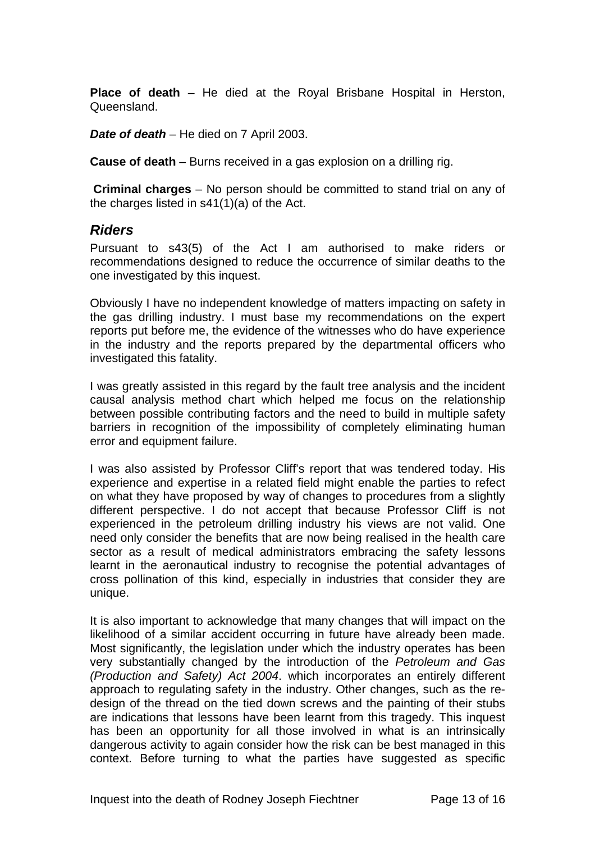**Place of death** – He died at the Royal Brisbane Hospital in Herston, Queensland.

*Date of death* – He died on 7 April 2003.

**Cause of death** – Burns received in a gas explosion on a drilling rig.

**Criminal charges** – No person should be committed to stand trial on any of the charges listed in s41(1)(a) of the Act.

### *Riders*

Pursuant to s43(5) of the Act I am authorised to make riders or recommendations designed to reduce the occurrence of similar deaths to the one investigated by this inquest.

Obviously I have no independent knowledge of matters impacting on safety in the gas drilling industry. I must base my recommendations on the expert reports put before me, the evidence of the witnesses who do have experience in the industry and the reports prepared by the departmental officers who investigated this fatality.

I was greatly assisted in this regard by the fault tree analysis and the incident causal analysis method chart which helped me focus on the relationship between possible contributing factors and the need to build in multiple safety barriers in recognition of the impossibility of completely eliminating human error and equipment failure.

I was also assisted by Professor Cliff's report that was tendered today. His experience and expertise in a related field might enable the parties to refect on what they have proposed by way of changes to procedures from a slightly different perspective. I do not accept that because Professor Cliff is not experienced in the petroleum drilling industry his views are not valid. One need only consider the benefits that are now being realised in the health care sector as a result of medical administrators embracing the safety lessons learnt in the aeronautical industry to recognise the potential advantages of cross pollination of this kind, especially in industries that consider they are unique.

It is also important to acknowledge that many changes that will impact on the likelihood of a similar accident occurring in future have already been made. Most significantly, the legislation under which the industry operates has been very substantially changed by the introduction of the *Petroleum and Gas (Production and Safety) Act 2004*. which incorporates an entirely different approach to regulating safety in the industry. Other changes, such as the redesign of the thread on the tied down screws and the painting of their stubs are indications that lessons have been learnt from this tragedy. This inquest has been an opportunity for all those involved in what is an intrinsically dangerous activity to again consider how the risk can be best managed in this context. Before turning to what the parties have suggested as specific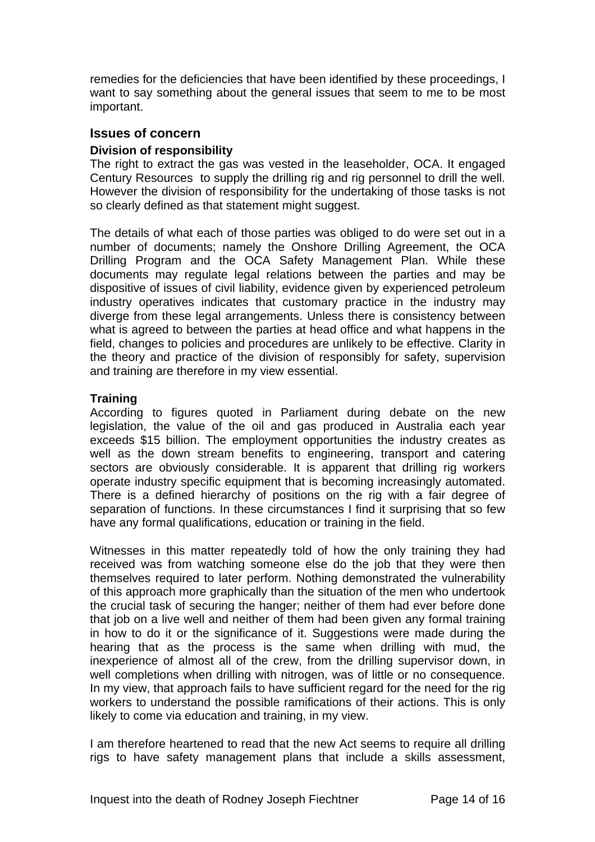remedies for the deficiencies that have been identified by these proceedings, I want to say something about the general issues that seem to me to be most important.

#### **Issues of concern**

#### **Division of responsibility**

The right to extract the gas was vested in the leaseholder, OCA. It engaged Century Resources to supply the drilling rig and rig personnel to drill the well. However the division of responsibility for the undertaking of those tasks is not so clearly defined as that statement might suggest.

The details of what each of those parties was obliged to do were set out in a number of documents; namely the Onshore Drilling Agreement, the OCA Drilling Program and the OCA Safety Management Plan. While these documents may regulate legal relations between the parties and may be dispositive of issues of civil liability, evidence given by experienced petroleum industry operatives indicates that customary practice in the industry may diverge from these legal arrangements. Unless there is consistency between what is agreed to between the parties at head office and what happens in the field, changes to policies and procedures are unlikely to be effective. Clarity in the theory and practice of the division of responsibly for safety, supervision and training are therefore in my view essential.

#### **Training**

According to figures quoted in Parliament during debate on the new legislation, the value of the oil and gas produced in Australia each year exceeds \$15 billion. The employment opportunities the industry creates as well as the down stream benefits to engineering, transport and catering sectors are obviously considerable. It is apparent that drilling rig workers operate industry specific equipment that is becoming increasingly automated. There is a defined hierarchy of positions on the rig with a fair degree of separation of functions. In these circumstances I find it surprising that so few have any formal qualifications, education or training in the field.

Witnesses in this matter repeatedly told of how the only training they had received was from watching someone else do the job that they were then themselves required to later perform. Nothing demonstrated the vulnerability of this approach more graphically than the situation of the men who undertook the crucial task of securing the hanger; neither of them had ever before done that job on a live well and neither of them had been given any formal training in how to do it or the significance of it. Suggestions were made during the hearing that as the process is the same when drilling with mud, the inexperience of almost all of the crew, from the drilling supervisor down, in well completions when drilling with nitrogen, was of little or no consequence. In my view, that approach fails to have sufficient regard for the need for the rig workers to understand the possible ramifications of their actions. This is only likely to come via education and training, in my view.

I am therefore heartened to read that the new Act seems to require all drilling rigs to have safety management plans that include a skills assessment,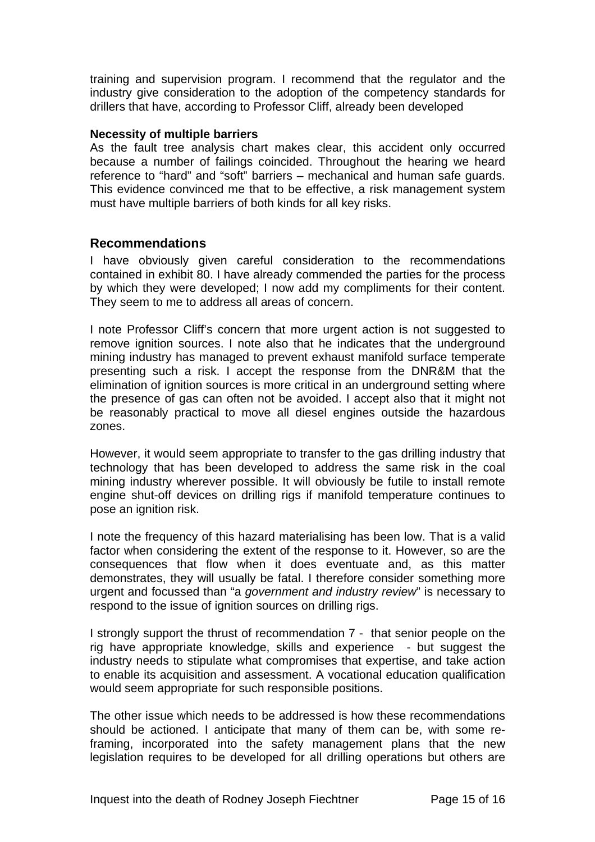training and supervision program. I recommend that the regulator and the industry give consideration to the adoption of the competency standards for drillers that have, according to Professor Cliff, already been developed

#### **Necessity of multiple barriers**

As the fault tree analysis chart makes clear, this accident only occurred because a number of failings coincided. Throughout the hearing we heard reference to "hard" and "soft" barriers – mechanical and human safe guards. This evidence convinced me that to be effective, a risk management system must have multiple barriers of both kinds for all key risks.

### **Recommendations**

I have obviously given careful consideration to the recommendations contained in exhibit 80. I have already commended the parties for the process by which they were developed; I now add my compliments for their content. They seem to me to address all areas of concern.

I note Professor Cliff's concern that more urgent action is not suggested to remove ignition sources. I note also that he indicates that the underground mining industry has managed to prevent exhaust manifold surface temperate presenting such a risk. I accept the response from the DNR&M that the elimination of ignition sources is more critical in an underground setting where the presence of gas can often not be avoided. I accept also that it might not be reasonably practical to move all diesel engines outside the hazardous zones.

However, it would seem appropriate to transfer to the gas drilling industry that technology that has been developed to address the same risk in the coal mining industry wherever possible. It will obviously be futile to install remote engine shut-off devices on drilling rigs if manifold temperature continues to pose an ignition risk.

I note the frequency of this hazard materialising has been low. That is a valid factor when considering the extent of the response to it. However, so are the consequences that flow when it does eventuate and, as this matter demonstrates, they will usually be fatal. I therefore consider something more urgent and focussed than "a *government and industry review*" is necessary to respond to the issue of ignition sources on drilling rigs.

I strongly support the thrust of recommendation 7 - that senior people on the rig have appropriate knowledge, skills and experience - but suggest the industry needs to stipulate what compromises that expertise, and take action to enable its acquisition and assessment. A vocational education qualification would seem appropriate for such responsible positions.

The other issue which needs to be addressed is how these recommendations should be actioned. I anticipate that many of them can be, with some reframing, incorporated into the safety management plans that the new legislation requires to be developed for all drilling operations but others are